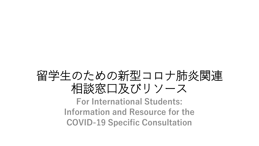## 留学生のための新型コロナ肺炎関連 相談窓口及びリソース

**For International Students: Information and Resource for the COVID-19 Specific Consultation**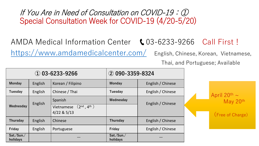If You Are in Need of Consultation on COVID-19:① Special Consultation Week for COVID-19 (4/20-5/20)

## AMDA Medical Information Center (03-6233-9266 Call First!

<https://www.amdamedicalcenter.com/> English, Chinese, Korean, Vietnamese,

Thai, and Portuguese; Available

| $\omega$ 03-6233-9266  |         |                                                   | $(2)$ 090-3359-8324    |                   |                                                        |
|------------------------|---------|---------------------------------------------------|------------------------|-------------------|--------------------------------------------------------|
| <b>Monday</b>          | English | Korean / Filipino                                 | <b>Monday</b>          | English / Chinese |                                                        |
| Tuesday                | English | Chinese / Thai                                    | Tuesday                | English / Chinese | April $20^{th} \sim$ May $20^{th}$<br>(Free of Charge) |
| Wednesday              | English | Spanish                                           | Wednesday              | English / Chinese |                                                        |
|                        |         | $(2^{nd}, 4^{th})$<br>Vietnamese<br>$4/22$ & 5/13 |                        |                   |                                                        |
| Thursday               | English | Chinese                                           | Thursday               | English / Chinese |                                                        |
| Friday                 | English | Portuguese                                        | Friday                 | English / Chinese |                                                        |
| Sat./Sun./<br>holidays |         |                                                   | Sat./Sun./<br>holidays |                   |                                                        |